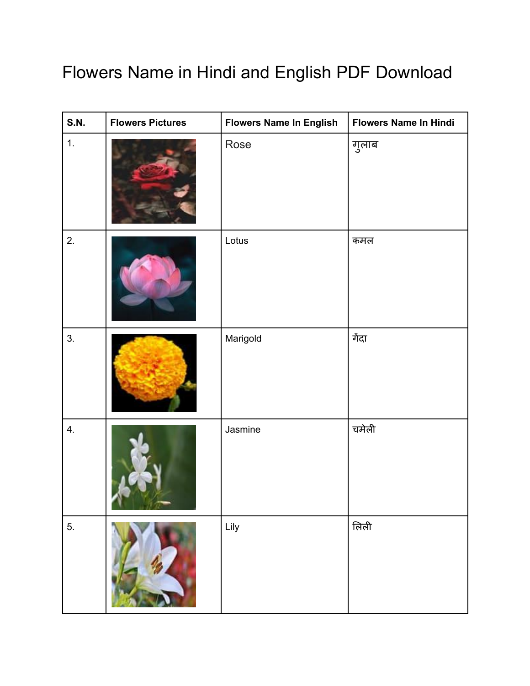## Flowers Name in Hindi and English PDF Download

| <b>S.N.</b> | <b>Flowers Pictures</b> | <b>Flowers Name In English</b> | <b>Flowers Name In Hindi</b> |
|-------------|-------------------------|--------------------------------|------------------------------|
| 1.          |                         | Rose                           | गुलाब                        |
| 2.          |                         | Lotus                          | कमल                          |
| 3.          |                         | Marigold                       | गेंदा                        |
| 4.          |                         | Jasmine                        | चमेली                        |
| 5.          |                         | Lily                           | लिली                         |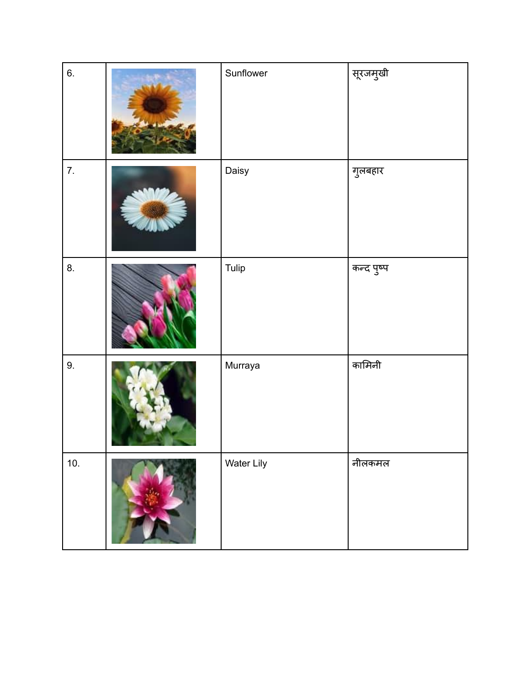| 6.               | Sunflower  | सूरजमुखी   |
|------------------|------------|------------|
| $\overline{7}$ . | Daisy      | गुलबहार    |
| 8.               | Tulip      | कन्द पुष्प |
| 9.               | Murraya    | कामिनी     |
| 10.              | Water Lily | नीलकमल     |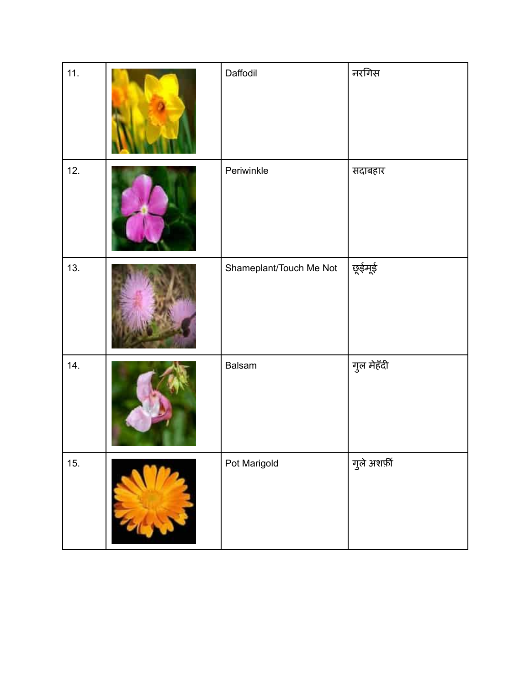| 11. |               | Daffodil                | नरगिस        |
|-----|---------------|-------------------------|--------------|
| 12. |               | Periwinkle              | सदाबहार      |
| 13. |               | Shameplant/Touch Me Not | छूईमूई       |
| 14. |               | Balsam                  | गुल मेहँदी   |
| 15. | $\frac{1}{2}$ | Pot Marigold            | गुले अशर्फ़ी |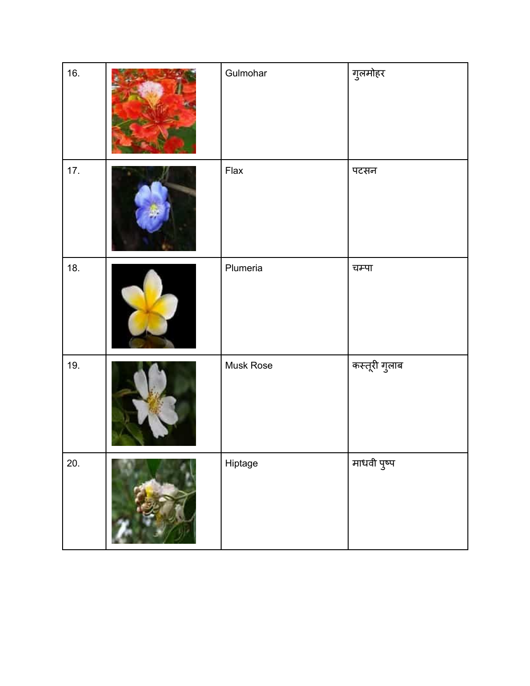| 16. | Gulmohar  | गुलमोहर       |
|-----|-----------|---------------|
| 17. | Flax      | पटसन          |
| 18. | Plumeria  | चम्पा         |
| 19. | Musk Rose | कस्तूरी गुलाब |
| 20. | Hiptage   | माधवी पुष्प   |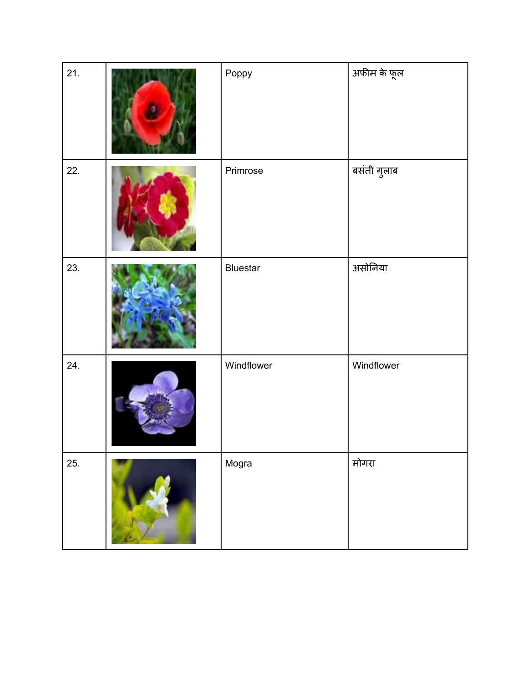| 21. | Poppy      | अफीम के फूल |
|-----|------------|-------------|
| 22. | Primrose   | बसंती गुलाब |
| 23. | Bluestar   | असोनिया     |
| 24. | Windflower | Windflower  |
| 25. | Mogra      | मोगरा       |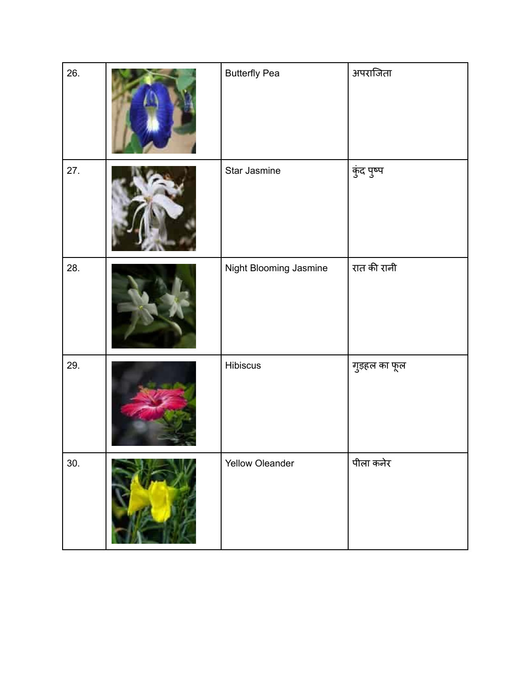| 26. | <b>Butterfly Pea</b>   | अपराजिता      |
|-----|------------------------|---------------|
| 27. | Star Jasmine           | कुंद पुष्प    |
| 28. | Night Blooming Jasmine | रात की रानी   |
| 29. | Hibiscus               | गुड़हल का फूल |
| 30. | Yellow Oleander        | पीला कनेर     |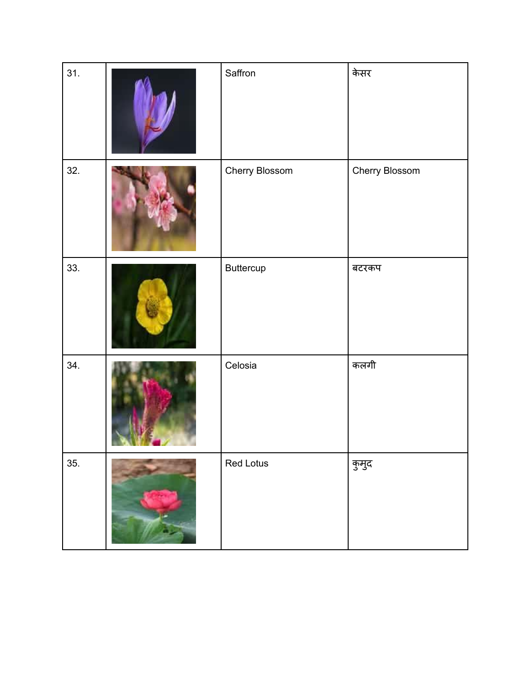| 31. | Saffron        | केसर           |
|-----|----------------|----------------|
| 32. | Cherry Blossom | Cherry Blossom |
| 33. | Buttercup      | बटरकप          |
| 34. | Celosia        | कलगी           |
| 35. | Red Lotus      | कुमुद          |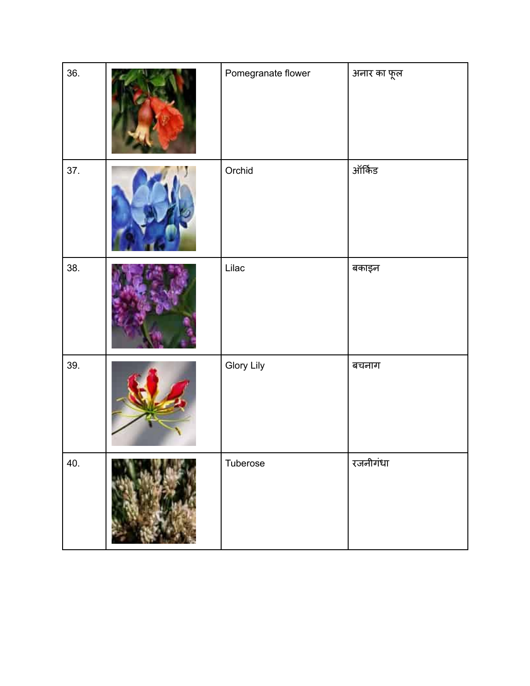| 36. | Pomegranate flower | अनार का फूल |
|-----|--------------------|-------------|
| 37. | Orchid             | ऑर्किड      |
| 38. | Lilac              | बकाइन       |
| 39. | Glory Lily         | बचनाग       |
| 40. | Tuberose           | रजनीगंधा    |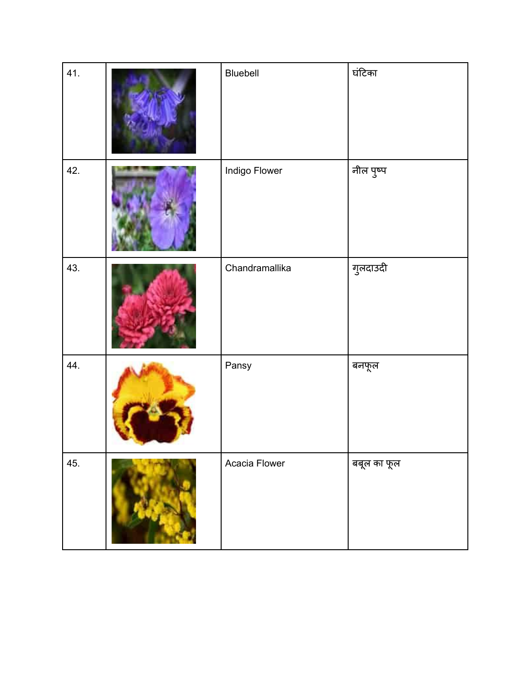| 41. | Bluebell       | घंटिका      |
|-----|----------------|-------------|
| 42. | Indigo Flower  | नील पुष्प   |
| 43. | Chandramallika | गुलदाउदी    |
| 44. | Pansy          | बनफूल       |
| 45. | Acacia Flower  | बबूल का फूल |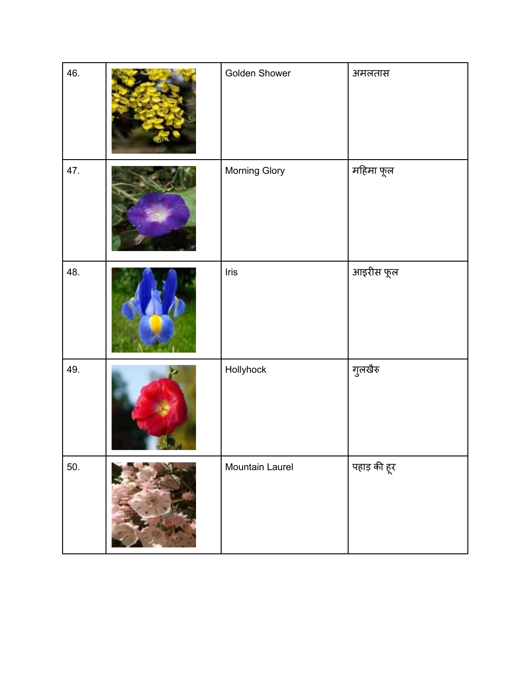| 46. | Golden Shower   | अमलतास       |
|-----|-----------------|--------------|
| 47. | Morning Glory   | महिमा फूल    |
| 48. | Iris            | आइरीस फूल    |
| 49. | Hollyhock       | गुलखैरु      |
| 50. | Mountain Laurel | पहाड़ की हूर |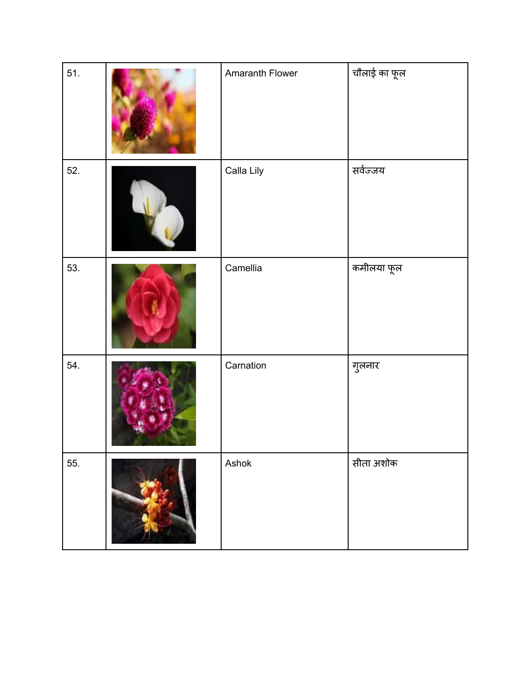| 51. | Amaranth Flower | चौलाई का फ <mark>ू</mark> ल |
|-----|-----------------|-----------------------------|
| 52. | Calla Lily      | सर्वज्जय                    |
| 53. | Camellia        | कमीलया फूल                  |
| 54. | Carnation       | गुलनार                      |
| 55. | Ashok           | सीता अशोक                   |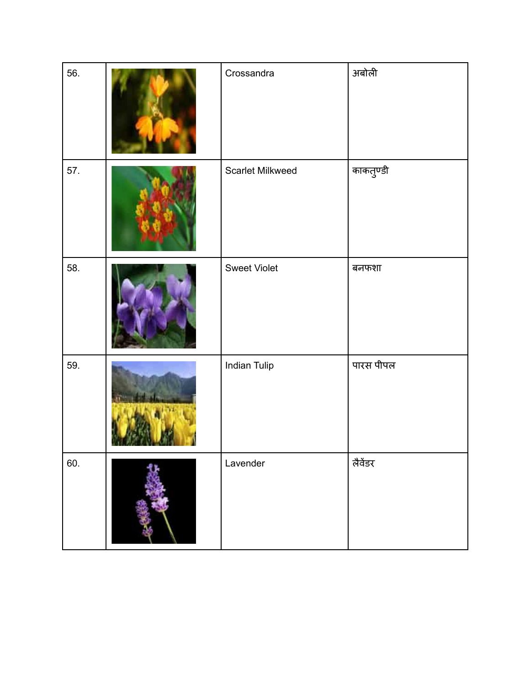| 56. | Crossandra          | अबोली     |
|-----|---------------------|-----------|
| 57. | Scarlet Milkweed    | काकतुण्डी |
| 58. | <b>Sweet Violet</b> | बनफशा     |
| 59. | <b>Indian Tulip</b> | पारस पीपल |
| 60. | Lavender            | लैवेंडर   |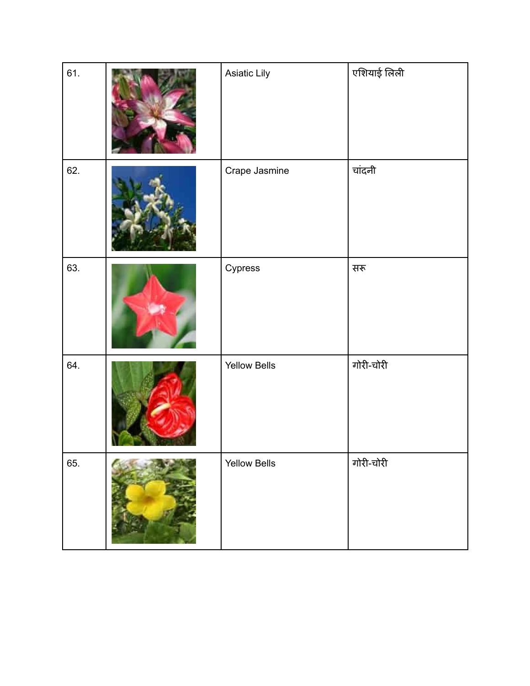| 61. | Asiatic Lily        | एशियाई लिली |
|-----|---------------------|-------------|
| 62. | Crape Jasmine       | चांदनी      |
| 63. | Cypress             | सरू         |
| 64. | <b>Yellow Bells</b> | गोरी-चोरी   |
| 65. | <b>Yellow Bells</b> | गोरी-चोरी   |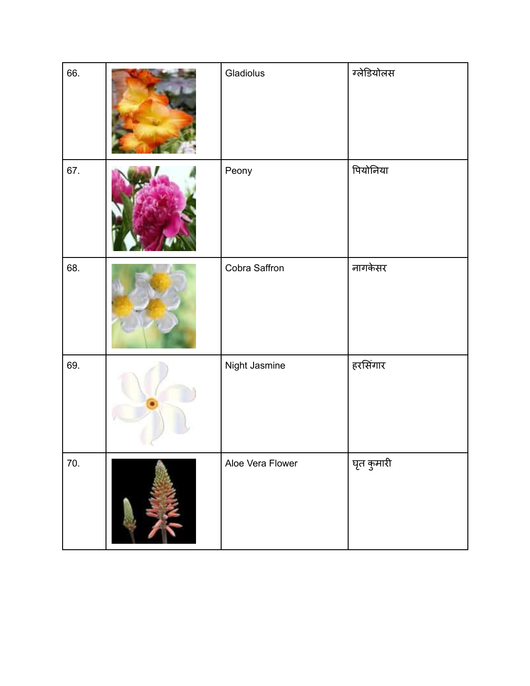| 66. | Gladiolus        | ग्लेडियोलस |
|-----|------------------|------------|
| 67. | Peony            | पियोनिया   |
| 68. | Cobra Saffron    | नागकेसर    |
| 69. | Night Jasmine    | हरसिंगार   |
| 70. | Aloe Vera Flower | घृत कुमारी |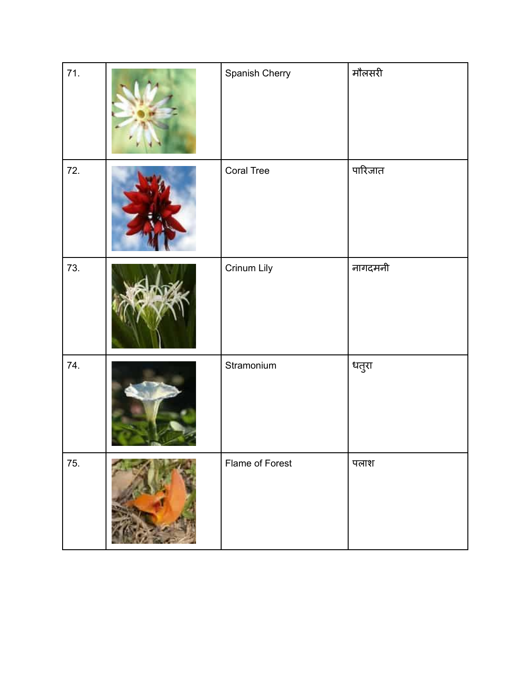| 71. | Spanish Cherry    | मौलसरी  |
|-----|-------------------|---------|
| 72. | <b>Coral Tree</b> | पारिजात |
| 73. | Crinum Lily       | नागदमनी |
| 74. | Stramonium        | धतुरा   |
| 75. | Flame of Forest   | पलाश    |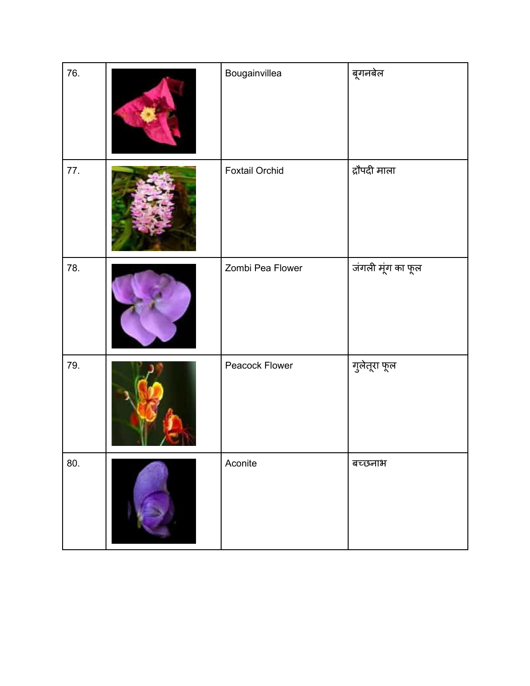| 76. | Bougainvillea         | बूगनबेल           |
|-----|-----------------------|-------------------|
| 77. | <b>Foxtail Orchid</b> | द्रौपदी माला      |
| 78. | Zombi Pea Flower      | जंगली मूंग का फूल |
| 79. | Peacock Flower        | गुलेतूरा फूल      |
| 80. | Aconite               | बच्छनाभ           |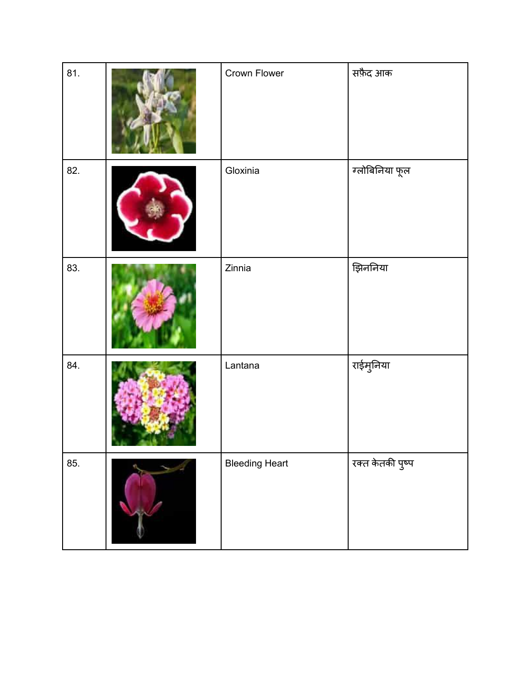| 81. | Crown Flower          | सफ़ैद आक         |
|-----|-----------------------|------------------|
| 82. | Gloxinia              | ग्लोबिनिया फूल   |
| 83. | Zinnia                | झिननिया          |
| 84. | Lantana               | राईमुनिया        |
| 85. | <b>Bleeding Heart</b> | रक्त केतकी पुष्प |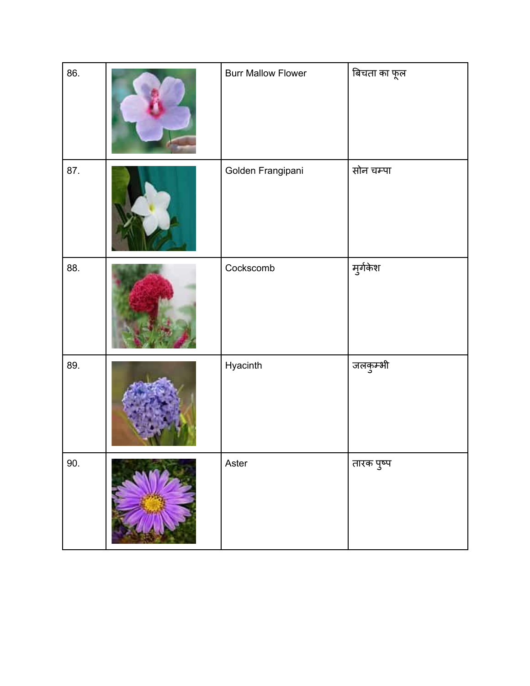| 86. | <b>Burr Mallow Flower</b> | बिचता का फूल |
|-----|---------------------------|--------------|
| 87. | Golden Frangipani         | सोन चम्पा    |
| 88. | Cockscomb                 | मुर्गकेश     |
| 89. | Hyacinth                  | जलकुम्भी     |
| 90. | Aster                     | तारक पुष्प   |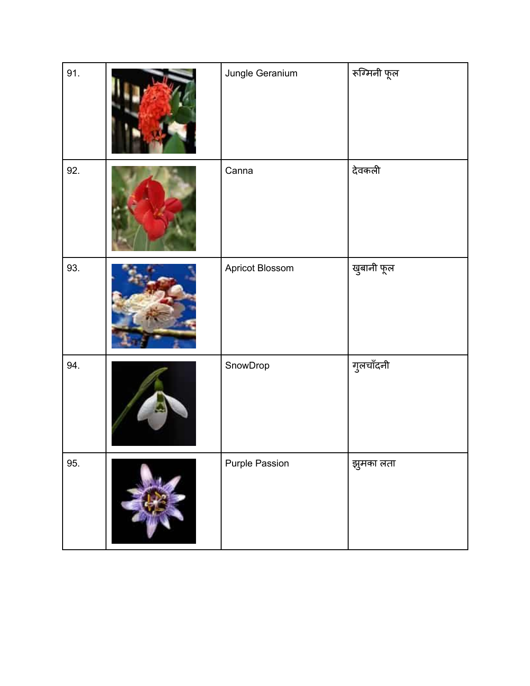| 91. | Jungle Geranium       | रूग्मिनी फूल |
|-----|-----------------------|--------------|
| 92. | Canna                 | देवकली       |
| 93. | Apricot Blossom       | खुबानी फूल   |
| 94. | SnowDrop              | गुलचाँदनी    |
| 95. | <b>Purple Passion</b> | झुमका लता    |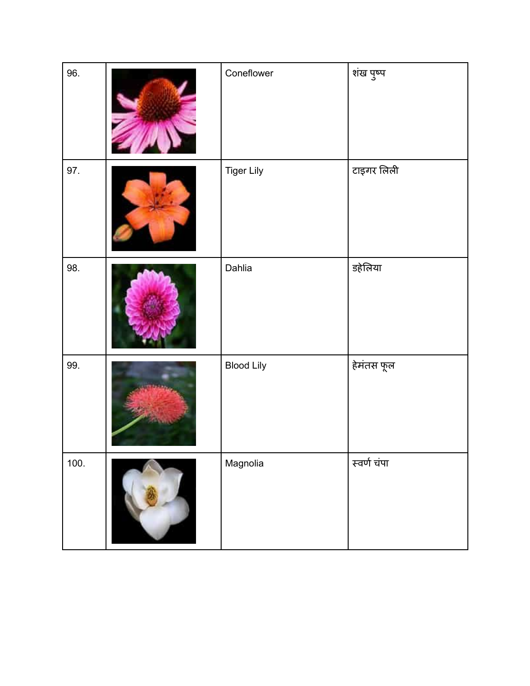| 96.  | Coneflower        | शंख पुष्प   |
|------|-------------------|-------------|
| 97.  | <b>Tiger Lily</b> | टाइगर लिली  |
| 98.  | Dahlia            | डहेलिया     |
| 99.  | <b>Blood Lily</b> | हेमंतस फूल  |
| 100. | Magnolia          | स्वर्ण चंपा |